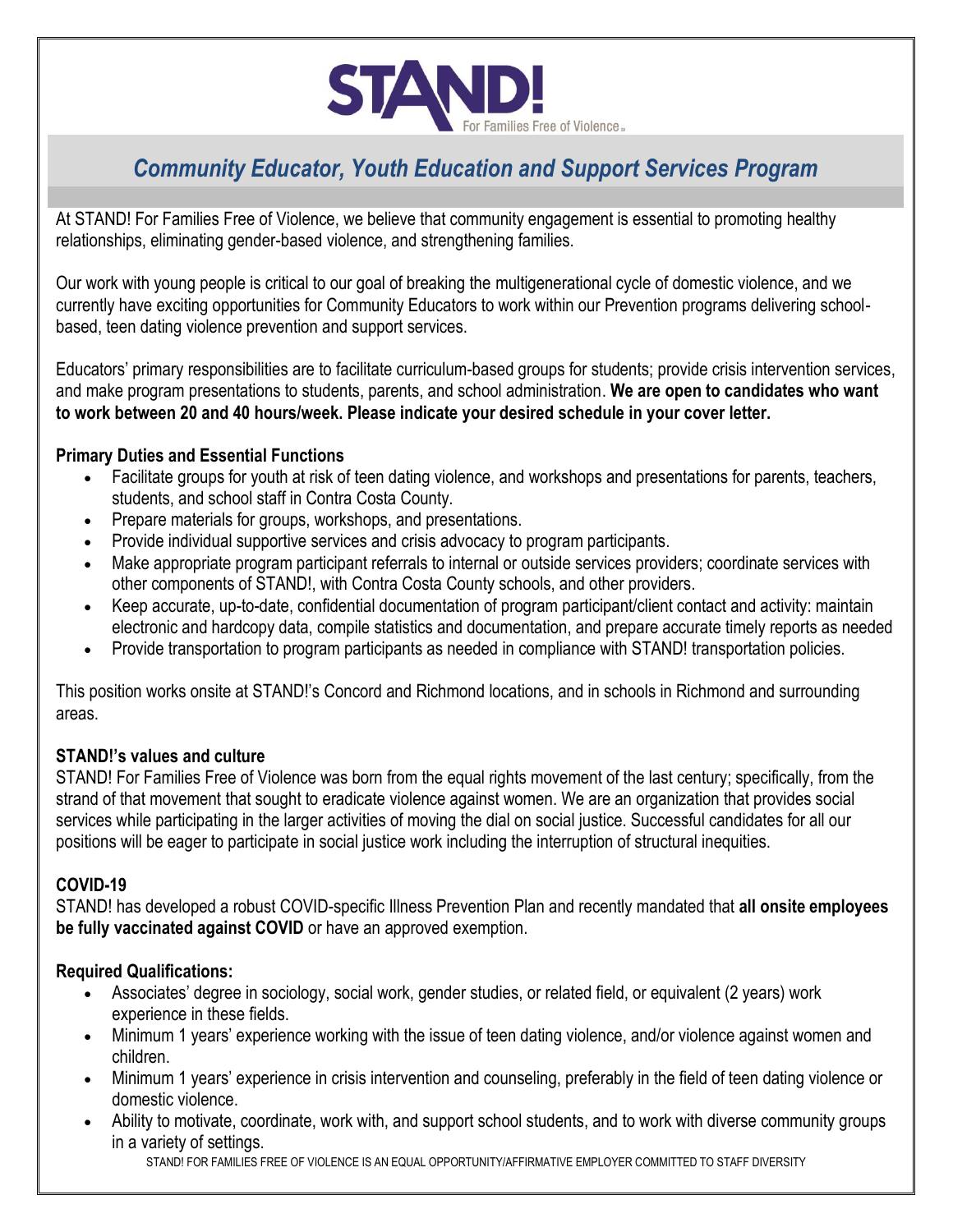

# *Community Educator, Youth Education and Support Services Program*

At STAND! For Families Free of Violence, we believe that community engagement is essential to promoting healthy relationships, eliminating gender-based violence, and strengthening families.

Our work with young people is critical to our goal of breaking the multigenerational cycle of domestic violence, and we currently have exciting opportunities for Community Educators to work within our Prevention programs delivering schoolbased, teen dating violence prevention and support services.

Educators' primary responsibilities are to facilitate curriculum-based groups for students; provide crisis intervention services, and make program presentations to students, parents, and school administration. **We are open to candidates who want to work between 20 and 40 hours/week. Please indicate your desired schedule in your cover letter.**

## **Primary Duties and Essential Functions**

- Facilitate groups for youth at risk of teen dating violence, and workshops and presentations for parents, teachers, students, and school staff in Contra Costa County.
- Prepare materials for groups, workshops, and presentations.
- Provide individual supportive services and crisis advocacy to program participants.
- Make appropriate program participant referrals to internal or outside services providers; coordinate services with other components of STAND!, with Contra Costa County schools, and other providers.
- Keep accurate, up-to-date, confidential documentation of program participant/client contact and activity: maintain electronic and hardcopy data, compile statistics and documentation, and prepare accurate timely reports as needed
- Provide transportation to program participants as needed in compliance with STAND! transportation policies.

This position works onsite at STAND!'s Concord and Richmond locations, and in schools in Richmond and surrounding areas.

### **STAND!'s values and culture**

STAND! For Families Free of Violence was born from the equal rights movement of the last century; specifically, from the strand of that movement that sought to eradicate violence against women. We are an organization that provides social services while participating in the larger activities of moving the dial on social justice. Successful candidates for all our positions will be eager to participate in social justice work including the interruption of structural inequities.

### **COVID-19**

STAND! has developed a robust COVID-specific Illness Prevention Plan and recently mandated that **all onsite employees be fully vaccinated against COVID** or have an approved exemption.

### **Required Qualifications:**

- Associates' degree in sociology, social work, gender studies, or related field, or equivalent (2 years) work experience in these fields.
- Minimum 1 years' experience working with the issue of teen dating violence, and/or violence against women and children.
- Minimum 1 years' experience in crisis intervention and counseling, preferably in the field of teen dating violence or domestic violence.
- Ability to motivate, coordinate, work with, and support school students, and to work with diverse community groups in a variety of settings.

STAND! FOR FAMILIES FREE OF VIOLENCE IS AN EQUAL OPPORTUNITY/AFFIRMATIVE EMPLOYER COMMITTED TO STAFF DIVERSITY